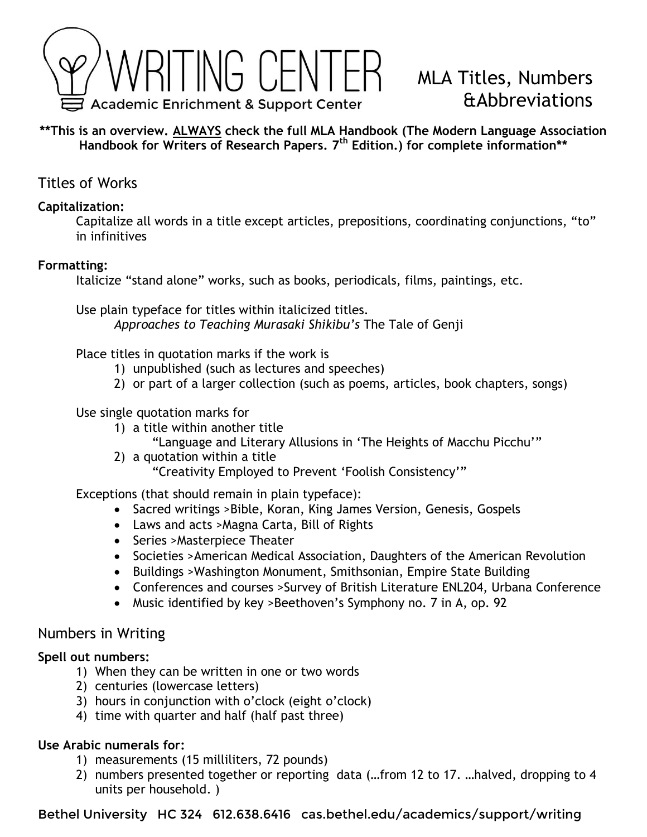

# MLA Titles, Numbers &Abbreviations

**\*\*This is an overview. ALWAYS check the full MLA Handbook (The Modern Language Association Handbook for Writers of Research Papers. 7th Edition.) for complete information\*\***

Titles of Works

### **Capitalization:**

Capitalize all words in a title except articles, prepositions, coordinating conjunctions, "to" in infinitives

#### **Formatting:**

Italicize "stand alone" works, such as books, periodicals, films, paintings, etc.

Use plain typeface for titles within italicized titles. *Approaches to Teaching Murasaki Shikibu's* The Tale of Genji

#### Place titles in quotation marks if the work is

- 1) unpublished (such as lectures and speeches)
- 2) or part of a larger collection (such as poems, articles, book chapters, songs)

#### Use single quotation marks for

- 1) a title within another title
	- "Language and Literary Allusions in 'The Heights of Macchu Picchu'"
- 2) a quotation within a title

"Creativity Employed to Prevent 'Foolish Consistency'"

Exceptions (that should remain in plain typeface):

- Sacred writings >Bible, Koran, King James Version, Genesis, Gospels
- Laws and acts >Magna Carta, Bill of Rights
- Series > Masterpiece Theater
- Societies >American Medical Association, Daughters of the American Revolution
- Buildings >Washington Monument, Smithsonian, Empire State Building
- Conferences and courses >Survey of British Literature ENL204, Urbana Conference
- Music identified by key >Beethoven's Symphony no. 7 in A, op. 92

#### Numbers in Writing

#### **Spell out numbers:**

- 1) When they can be written in one or two words
- 2) centuries (lowercase letters)
- 3) hours in conjunction with o'clock (eight o'clock)
- 4) time with quarter and half (half past three)

#### **Use Arabic numerals for:**

- 1) measurements (15 milliliters, 72 pounds)
- 2) numbers presented together or reporting data (…from 12 to 17. …halved, dropping to 4 units per household. )

Bethel University HC 324 612.638.6416 cas.bethel.edu/academics/support/writing